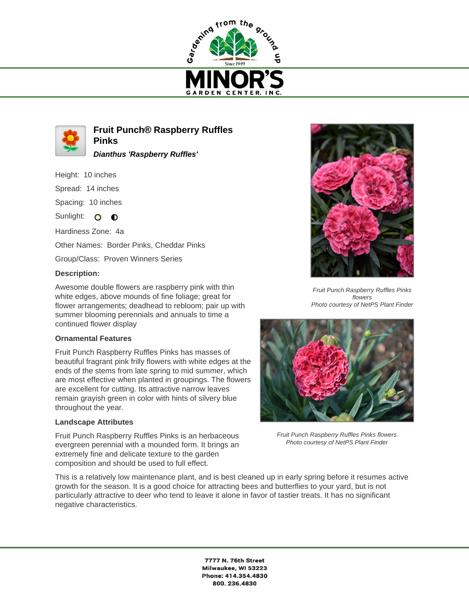



**Fruit Punch® Raspberry Ruffles Pinks**

**Dianthus 'Raspberry Ruffles'**

Height: 10 inches

Spread: 14 inches

Spacing: 10 inches

Sunlight:  $\circ$   $\bullet$ 

Hardiness Zone: 4a

Other Names: Border Pinks, Cheddar Pinks

Group/Class: Proven Winners Series

## **Description:**

Awesome double flowers are raspberry pink with thin white edges, above mounds of fine foliage; great for flower arrangements; deadhead to rebloom; pair up with summer blooming perennials and annuals to time a continued flower display

## **Ornamental Features**

Fruit Punch Raspberry Ruffles Pinks has masses of beautiful fragrant pink frilly flowers with white edges at the ends of the stems from late spring to mid summer, which are most effective when planted in groupings. The flowers are excellent for cutting. Its attractive narrow leaves remain grayish green in color with hints of silvery blue throughout the year.

## **Landscape Attributes**

Fruit Punch Raspberry Ruffles Pinks is an herbaceous evergreen perennial with a mounded form. It brings an extremely fine and delicate texture to the garden composition and should be used to full effect.

This is a relatively low maintenance plant, and is best cleaned up in early spring before it resumes active growth for the season. It is a good choice for attracting bees and butterflies to your yard, but is not particularly attractive to deer who tend to leave it alone in favor of tastier treats. It has no significant negative characteristics.





Fruit Punch Raspberry Ruffles Pinks flowers Photo courtesy of NetPS Plant Finder



Fruit Punch Raspberry Ruffles Pinks flowers Photo courtesy of NetPS Plant Finder